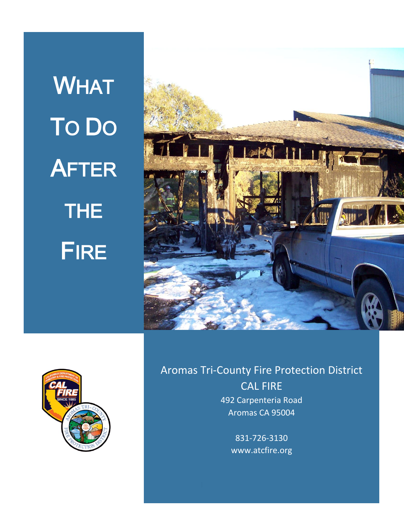**WHAT** TO DO **AFTER** THE FIRE





# Aromas Tri-County Fire Protection District CAL FIRE 492 Carpenteria Road Aromas CA 95004

831-726-3130 www.atcfire.org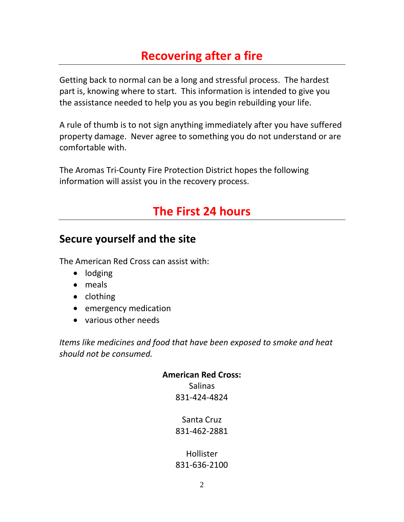## **Recovering after a fire**

Getting back to normal can be a long and stressful process. The hardest part is, knowing where to start. This information is intended to give you the assistance needed to help you as you begin rebuilding your life.

A rule of thumb is to not sign anything immediately after you have suffered property damage. Never agree to something you do not understand or are comfortable with.

The Aromas Tri-County Fire Protection District hopes the following information will assist you in the recovery process.

## **The First 24 hours**

## **Secure yourself and the site**

The American Red Cross can assist with:

- lodging
- meals
- clothing
- **•** emergency medication
- various other needs

*Items like medicines and food that have been exposed to smoke and heat should not be consumed.*

#### **American Red Cross:**

Salinas 831-424-4824

Santa Cruz 831-462-2881

Hollister 831-636-2100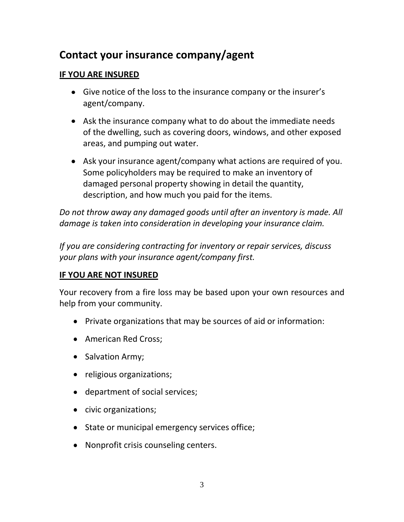## **Contact your insurance company/agent**

#### **IF YOU ARE INSURED**

- Give notice of the loss to the insurance company or the insurer's agent/company.
- Ask the insurance company what to do about the immediate needs of the dwelling, such as covering doors, windows, and other exposed areas, and pumping out water.
- Ask your insurance agent/company what actions are required of you. Some policyholders may be required to make an inventory of damaged personal property showing in detail the quantity, description, and how much you paid for the items.

*Do not throw away any damaged goods until after an inventory is made. All damage is taken into consideration in developing your insurance claim.*

*If you are considering contracting for inventory or repair services, discuss your plans with your insurance agent/company first.*

#### **IF YOU ARE NOT INSURED**

Your recovery from a fire loss may be based upon your own resources and help from your community.

- Private organizations that may be sources of aid or information:
- American Red Cross;
- Salvation Army;
- religious organizations;
- department of social services;
- civic organizations;
- State or municipal emergency services office;
- Nonprofit crisis counseling centers.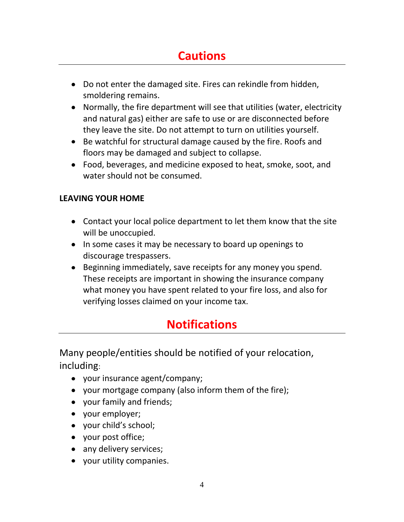# **Cautions**

- Do not enter the damaged site. Fires can rekindle from hidden, smoldering remains.
- Normally, the fire department will see that utilities (water, electricity and natural gas) either are safe to use or are disconnected before they leave the site. Do not attempt to turn on utilities yourself.
- Be watchful for structural damage caused by the fire. Roofs and floors may be damaged and subject to collapse.
- Food, beverages, and medicine exposed to heat, smoke, soot, and water should not be consumed.

### **LEAVING YOUR HOME**

- Contact your local police department to let them know that the site will be unoccupied.
- In some cases it may be necessary to board up openings to discourage trespassers.
- Beginning immediately, save receipts for any money you spend. These receipts are important in showing the insurance company what money you have spent related to your fire loss, and also for verifying losses claimed on your income tax.

# **Notifications**

Many people/entities should be notified of your relocation, including:

- your insurance agent/company;
- your mortgage company (also inform them of the fire);
- your family and friends;
- your employer;
- your child's school;
- your post office;
- any delivery services;
- your utility companies.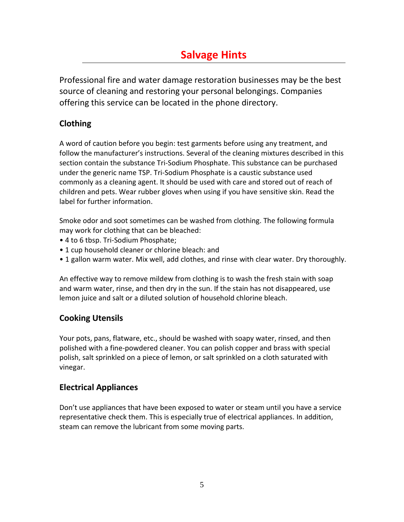## **Salvage Hints**

Professional fire and water damage restoration businesses may be the best source of cleaning and restoring your personal belongings. Companies offering this service can be located in the phone directory.

### **Clothing**

A word of caution before you begin: test garments before using any treatment, and follow the manufacturer's instructions. Several of the cleaning mixtures described in this section contain the substance Tri-Sodium Phosphate. This substance can be purchased under the generic name TSP. Tri-Sodium Phosphate is a caustic substance used commonly as a cleaning agent. It should be used with care and stored out of reach of children and pets. Wear rubber gloves when using if you have sensitive skin. Read the label for further information.

Smoke odor and soot sometimes can be washed from clothing. The following formula may work for clothing that can be bleached:

- 4 to 6 tbsp. Tri-Sodium Phosphate;
- 1 cup household cleaner or chlorine bleach: and
- 1 gallon warm water. Mix well, add clothes, and rinse with clear water. Dry thoroughly.

An effective way to remove mildew from clothing is to wash the fresh stain with soap and warm water, rinse, and then dry in the sun. If the stain has not disappeared, use lemon juice and salt or a diluted solution of household chlorine bleach.

#### **Cooking Utensils**

Your pots, pans, flatware, etc., should be washed with soapy water, rinsed, and then polished with a fine-powdered cleaner. You can polish copper and brass with special polish, salt sprinkled on a piece of lemon, or salt sprinkled on a cloth saturated with vinegar.

#### **Electrical Appliances**

Don't use appliances that have been exposed to water or steam until you have a service representative check them. This is especially true of electrical appliances. In addition, steam can remove the lubricant from some moving parts.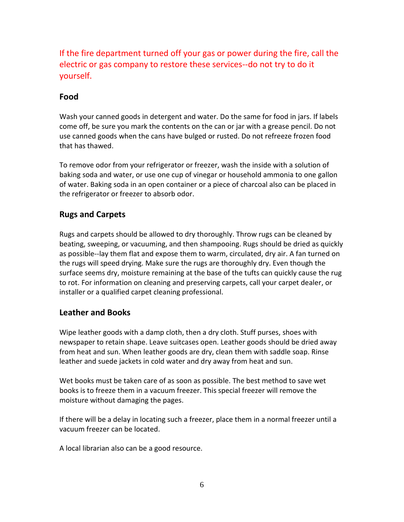If the fire department turned off your gas or power during the fire, call the electric or gas company to restore these services--do not try to do it yourself.

#### **Food**

Wash your canned goods in detergent and water. Do the same for food in jars. If labels come off, be sure you mark the contents on the can or jar with a grease pencil. Do not use canned goods when the cans have bulged or rusted. Do not refreeze frozen food that has thawed.

To remove odor from your refrigerator or freezer, wash the inside with a solution of baking soda and water, or use one cup of vinegar or household ammonia to one gallon of water. Baking soda in an open container or a piece of charcoal also can be placed in the refrigerator or freezer to absorb odor.

#### **Rugs and Carpets**

Rugs and carpets should be allowed to dry thoroughly. Throw rugs can be cleaned by beating, sweeping, or vacuuming, and then shampooing. Rugs should be dried as quickly as possible--lay them flat and expose them to warm, circulated, dry air. A fan turned on the rugs will speed drying. Make sure the rugs are thoroughly dry. Even though the surface seems dry, moisture remaining at the base of the tufts can quickly cause the rug to rot. For information on cleaning and preserving carpets, call your carpet dealer, or installer or a qualified carpet cleaning professional.

#### **Leather and Books**

Wipe leather goods with a damp cloth, then a dry cloth. Stuff purses, shoes with newspaper to retain shape. Leave suitcases open. Leather goods should be dried away from heat and sun. When leather goods are dry, clean them with saddle soap. Rinse leather and suede jackets in cold water and dry away from heat and sun.

Wet books must be taken care of as soon as possible. The best method to save wet books is to freeze them in a vacuum freezer. This special freezer will remove the moisture without damaging the pages.

If there will be a delay in locating such a freezer, place them in a normal freezer until a vacuum freezer can be located.

A local librarian also can be a good resource.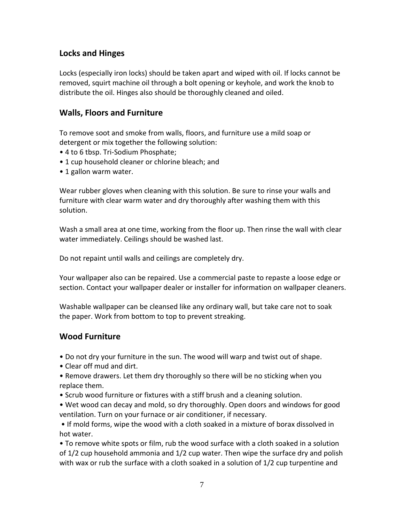#### **Locks and Hinges**

Locks (especially iron locks) should be taken apart and wiped with oil. If locks cannot be removed, squirt machine oil through a bolt opening or keyhole, and work the knob to distribute the oil. Hinges also should be thoroughly cleaned and oiled.

#### **Walls, Floors and Furniture**

To remove soot and smoke from walls, floors, and furniture use a mild soap or detergent or mix together the following solution:

- 4 to 6 tbsp. Tri-Sodium Phosphate;
- 1 cup household cleaner or chlorine bleach; and
- 1 gallon warm water.

Wear rubber gloves when cleaning with this solution. Be sure to rinse your walls and furniture with clear warm water and dry thoroughly after washing them with this solution.

Wash a small area at one time, working from the floor up. Then rinse the wall with clear water immediately. Ceilings should be washed last.

Do not repaint until walls and ceilings are completely dry.

Your wallpaper also can be repaired. Use a commercial paste to repaste a loose edge or section. Contact your wallpaper dealer or installer for information on wallpaper cleaners.

Washable wallpaper can be cleansed like any ordinary wall, but take care not to soak the paper. Work from bottom to top to prevent streaking.

#### **Wood Furniture**

- Do not dry your furniture in the sun. The wood will warp and twist out of shape.
- Clear off mud and dirt.
- Remove drawers. Let them dry thoroughly so there will be no sticking when you replace them.
- Scrub wood furniture or fixtures with a stiff brush and a cleaning solution.
- Wet wood can decay and mold, so dry thoroughly. Open doors and windows for good ventilation. Turn on your furnace or air conditioner, if necessary.
- If mold forms, wipe the wood with a cloth soaked in a mixture of borax dissolved in hot water.

• To remove white spots or film, rub the wood surface with a cloth soaked in a solution of 1/2 cup household ammonia and 1/2 cup water. Then wipe the surface dry and polish with wax or rub the surface with a cloth soaked in a solution of 1/2 cup turpentine and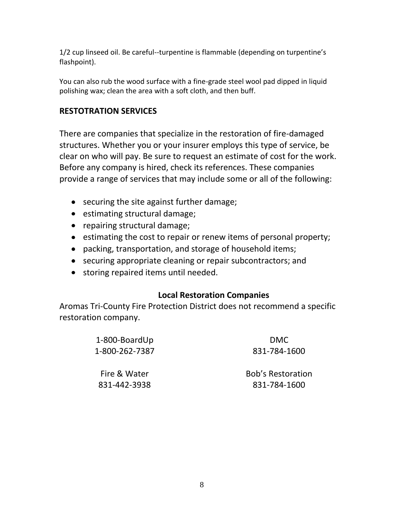1/2 cup linseed oil. Be careful--turpentine is flammable (depending on turpentine's flashpoint).

You can also rub the wood surface with a fine-grade steel wool pad dipped in liquid polishing wax; clean the area with a soft cloth, and then buff.

### **RESTOTRATION SERVICES**

There are companies that specialize in the restoration of fire-damaged structures. Whether you or your insurer employs this type of service, be clear on who will pay. Be sure to request an estimate of cost for the work. Before any company is hired, check its references. These companies provide a range of services that may include some or all of the following:

- securing the site against further damage;
- estimating structural damage;
- repairing structural damage;
- estimating the cost to repair or renew items of personal property;
- packing, transportation, and storage of household items;
- securing appropriate cleaning or repair subcontractors; and
- storing repaired items until needed.

#### **Local Restoration Companies**

Aromas Tri-County Fire Protection District does not recommend a specific restoration company.

| 1-800-BoardUp  | <b>DMC</b>               |
|----------------|--------------------------|
| 1-800-262-7387 | 831-784-1600             |
| Fire & Water   | <b>Bob's Restoration</b> |
| 831-442-3938   | 831-784-1600             |
|                |                          |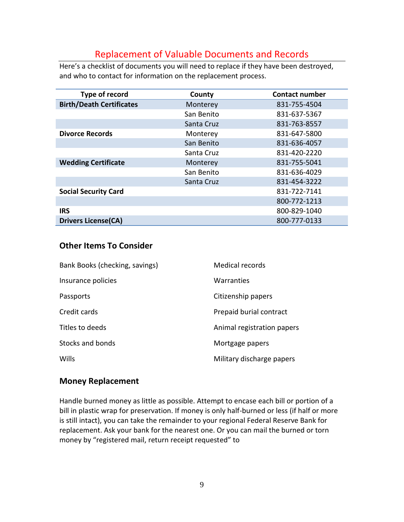### Replacement of Valuable Documents and Records

Here's a checklist of documents you will need to replace if they have been destroyed, and who to contact for information on the replacement process.

| Type of record                  | County     | <b>Contact number</b> |  |
|---------------------------------|------------|-----------------------|--|
| <b>Birth/Death Certificates</b> | Monterey   | 831-755-4504          |  |
|                                 | San Benito | 831-637-5367          |  |
|                                 | Santa Cruz | 831-763-8557          |  |
| <b>Divorce Records</b>          | Monterey   | 831-647-5800          |  |
|                                 | San Benito | 831-636-4057          |  |
|                                 | Santa Cruz | 831-420-2220          |  |
| <b>Wedding Certificate</b>      | Monterey   | 831-755-5041          |  |
|                                 | San Benito | 831-636-4029          |  |
|                                 | Santa Cruz | 831-454-3222          |  |
| <b>Social Security Card</b>     |            | 831-722-7141          |  |
|                                 |            | 800-772-1213          |  |
| <b>IRS</b>                      |            | 800-829-1040          |  |
| <b>Drivers License(CA)</b>      |            | 800-777-0133          |  |

#### **Other Items To Consider**

| Bank Books (checking, savings) | <b>Medical records</b>     |
|--------------------------------|----------------------------|
| Insurance policies             | Warranties                 |
| Passports                      | Citizenship papers         |
| Credit cards                   | Prepaid burial contract    |
| Titles to deeds                | Animal registration papers |
| Stocks and bonds               | Mortgage papers            |
| Wills                          | Military discharge papers  |

#### **Money Replacement**

Handle burned money as little as possible. Attempt to encase each bill or portion of a bill in plastic wrap for preservation. If money is only half-burned or less (if half or more is still intact), you can take the remainder to your regional Federal Reserve Bank for replacement. Ask your bank for the nearest one. Or you can mail the burned or torn money by "registered mail, return receipt requested" to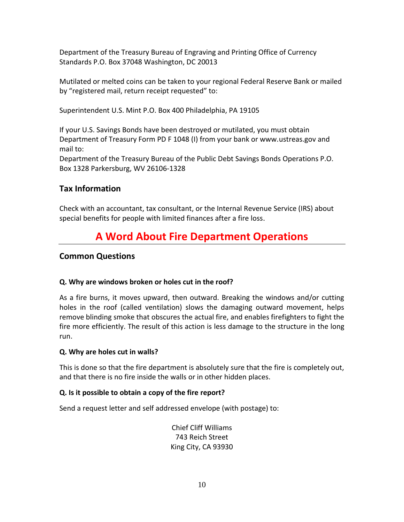Department of the Treasury Bureau of Engraving and Printing Office of Currency Standards P.O. Box 37048 Washington, DC 20013

Mutilated or melted coins can be taken to your regional Federal Reserve Bank or mailed by "registered mail, return receipt requested" to:

Superintendent U.S. Mint P.O. Box 400 Philadelphia, PA 19105

If your U.S. Savings Bonds have been destroyed or mutilated, you must obtain Department of Treasury Form PD F 1048 (I) from your bank or www.ustreas.gov and mail to: Department of the Treasury Bureau of the Public Debt Savings Bonds Operations P.O. Box 1328 Parkersburg, WV 26106-1328

#### **Tax Information**

Check with an accountant, tax consultant, or the Internal Revenue Service (IRS) about special benefits for people with limited finances after a fire loss.

## **A Word About Fire Department Operations**

#### **Common Questions**

#### **Q. Why are windows broken or holes cut in the roof?**

As a fire burns, it moves upward, then outward. Breaking the windows and/or cutting holes in the roof (called ventilation) slows the damaging outward movement, helps remove blinding smoke that obscures the actual fire, and enables firefighters to fight the fire more efficiently. The result of this action is less damage to the structure in the long run.

#### **Q. Why are holes cut in walls?**

This is done so that the fire department is absolutely sure that the fire is completely out, and that there is no fire inside the walls or in other hidden places.

#### **Q. Is it possible to obtain a copy of the fire report?**

Send a request letter and self addressed envelope (with postage) to:

Chief Cliff Williams 743 Reich Street King City, CA 93930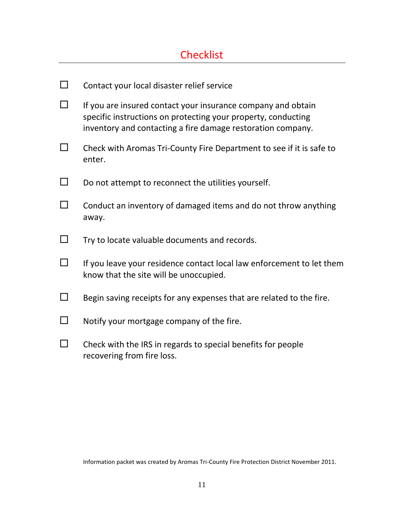## **Checklist**

| Contact your local disaster relief service                                                                                                                                                   |
|----------------------------------------------------------------------------------------------------------------------------------------------------------------------------------------------|
| If you are insured contact your insurance company and obtain<br>specific instructions on protecting your property, conducting<br>inventory and contacting a fire damage restoration company. |
| Check with Aromas Tri-County Fire Department to see if it is safe to<br>enter.                                                                                                               |
| Do not attempt to reconnect the utilities yourself.                                                                                                                                          |
| Conduct an inventory of damaged items and do not throw anything<br>away.                                                                                                                     |
| Try to locate valuable documents and records.                                                                                                                                                |
| If you leave your residence contact local law enforcement to let them<br>know that the site will be unoccupied.                                                                              |
| Begin saving receipts for any expenses that are related to the fire.                                                                                                                         |
| Notify your mortgage company of the fire.                                                                                                                                                    |
| Check with the IRS in regards to special benefits for people<br>recovering from fire loss.                                                                                                   |

Information packet was created by Aromas Tri-County Fire Protection District November 2011.